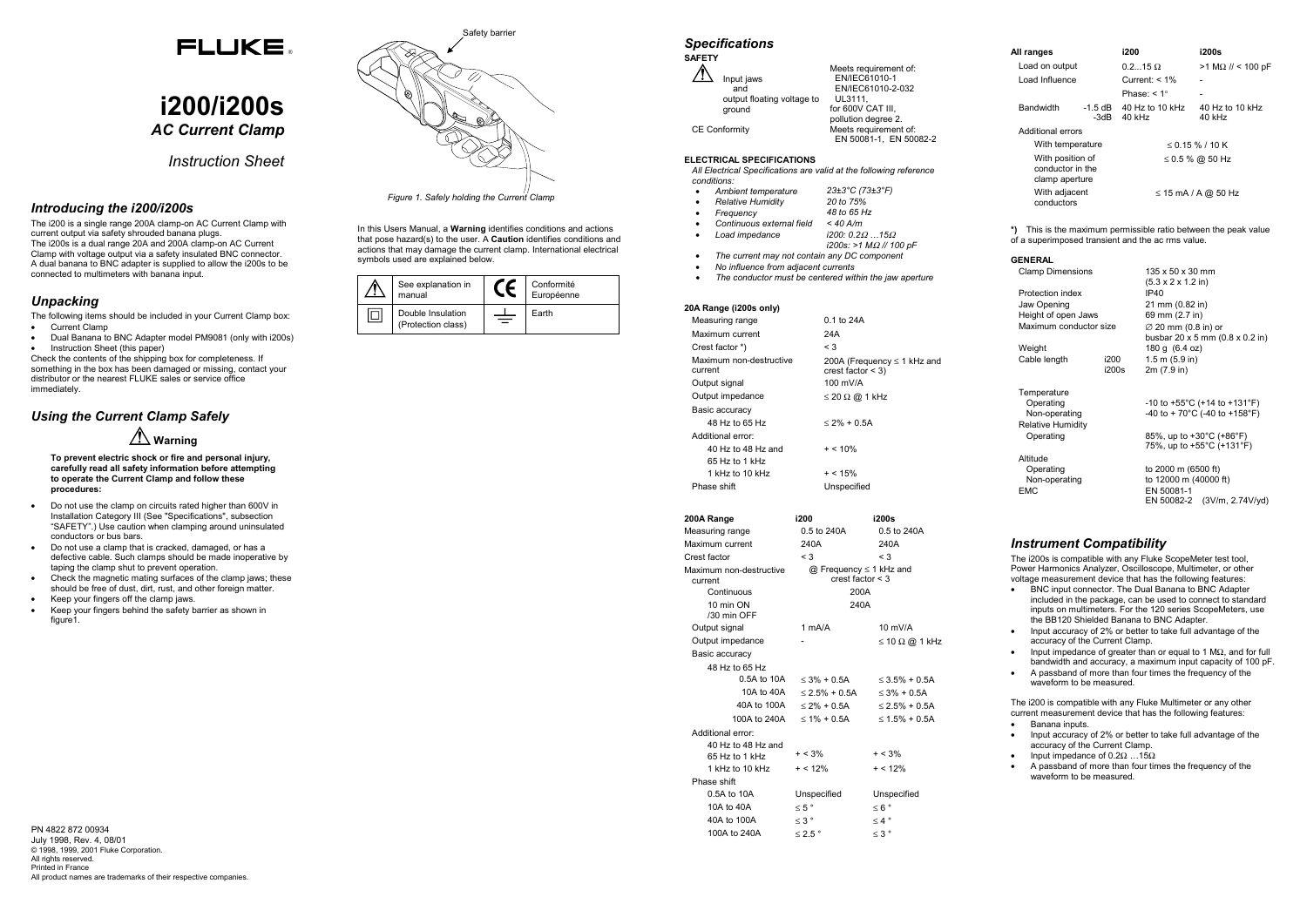# FLUKE.

# **i200/i200s** *AC Current Clamp*

*Instruction Sheet*

## *Introducing the i200/i200s*

- Current Clamp
- Dual Banana to BNC Adapter model PM9081 (only with i200s) • Instruction Sheet (this paper)

The i200 is a single range 200A clamp-on AC Current Clamp with current output via safety shrouded banana plugs. The i200s is a dual range 20A and 200A clamp-on AC Current Clamp with voltage output via a safety insulated BNC connector. A dual banana to BNC adapter is supplied to allow the i200s to be connected to multimeters with banana input.

## *Unpacking*

The following items should be included in your Current Clamp box:

- Do not use the clamp on circuits rated higher than 600V in Installation Category III (See "Specifications", subsection "SAFETY".) Use caution when clamping around uninsulated conductors or bus bars.
- Do not use a clamp that is cracked, damaged, or has a defective cable. Such clamps should be made inoperative by taping the clamp shut to prevent operation.
- Check the magnetic mating surfaces of the clamp jaws; these should be free of dust, dirt, rust, and other foreign matter.
- Keep your fingers off the clamp jaws.
- Keep your fingers behind the safety barrier as shown in figure1

Check the contents of the shipping box for completeness. If something in the box has been damaged or missing, contact your distributor or the nearest FLUKE sales or service office immediately.

# *Using the Current Clamp Safely*

In this Users Manual, a **Warning** identifies conditions and actions that pose hazard(s) to the user. A **Caution** identifies conditions and actions that may damage the current clamp. International electrical symbols used are explained below.

 **Warning**

**To prevent electric shock or fire and personal injury, carefully read all safety information before attempting to operate the Current Clamp and follow these procedures:**

*Figure 1. Safely holding the Current Clamp*

| See explanation in<br>manual            | Conformité<br>Européenne |
|-----------------------------------------|--------------------------|
| Double Insulation<br>(Protection class) | Earth                    |

|                      | <b>Specifications</b>      |                        |
|----------------------|----------------------------|------------------------|
| <b>SAFETY</b>        |                            |                        |
|                      |                            | Meets requirement of:  |
|                      | Input jaws                 | EN/IEC61010-1          |
|                      | and                        | EN/IEC61010-2-032      |
|                      | output floating voltage to | UL3111,                |
|                      | ground                     | for 600V CAT III.      |
|                      |                            | pollution degree 2.    |
| <b>CE Conformity</b> |                            | Meets requirement of:  |
|                      |                            | EN 50081-1. EN 50082-2 |

### **ELECTRICAL SPECIFICATIONS**

*All Electrical Specifications are valid at the following reference conditions:*

•

•

•

•

•

Ω *…15* Ω

- *Ambient temperature 23±3°C (73±3°F)*
- *Relative Humidity 20 to 75%*
- *Frequency* 48 to 65 h<br>Continuous external field  $\leq 40$  A/m  $Continuous$  external field
- $Load$  *impedance*
- *i200s: >1 M*Ω *// 100 pF*
- •*The current may not contain any DC component*
- • *No influence from adjacent currents* •*The conductor must be centered within the jaw aperture*

- Input accuracy of 2% or better to take full advantage of the accuracy of the Current Clamp.
- Input impedance of 0.2 $\Omega$  ...15 $\Omega$
- A passband of more than four times the frequency of the waveform to be measured.

| 20A Range (i200s only)             |                                                         |
|------------------------------------|---------------------------------------------------------|
| Measuring range                    | 0.1 to 24A                                              |
| Maximum current                    | 24A                                                     |
| Crest factor *)                    | $\leq$ 3                                                |
| Maximum non-destructive<br>current | 200A (Frequency $\leq$ 1 kHz and<br>crest factor $<$ 3) |
| Output signal                      | 100 mV/A                                                |
| Output impedance                   | $\leq$ 20 $\Omega$ @ 1 kHz                              |
| Basic accuracy                     |                                                         |
| 48 Hz to 65 Hz                     | $<$ 2% + 0.5A                                           |
| Additional error:                  |                                                         |
| 40 Hz to 48 Hz and                 | $+ < 10\%$                                              |
| 65 Hz to 1 kHz                     |                                                         |
| 1 kHz to 10 kHz                    | $+ < 15\%$                                              |
| Phase shift                        | Unspecified                                             |

|                                        | 200A Range         | i200                                                         | i200s                      |  |
|----------------------------------------|--------------------|--------------------------------------------------------------|----------------------------|--|
|                                        | Measuring range    | 0.5 to 240A                                                  | 0.5 to 240A                |  |
|                                        | Maximum current    | 240A                                                         | 240A                       |  |
|                                        | Crest factor       | $\leq$ 3                                                     | $\leq$ 3                   |  |
| Maximum non-destructive<br>current     |                    | $@$ Frequency $\leq 1$ kHz and<br>crest factor $<$ 3<br>200A |                            |  |
| Continuous<br>10 min ON<br>/30 min OFF |                    | 240A                                                         |                            |  |
|                                        | Output signal      | $1 \text{ mA/A}$                                             | $10$ mV/A                  |  |
|                                        | Output impedance   |                                                              | $\leq$ 10 $\Omega$ @ 1 kHz |  |
|                                        | Basic accuracy     |                                                              |                            |  |
|                                        | 48 Hz to 65 Hz     |                                                              |                            |  |
|                                        | 0.5A to 10A        | $\leq$ 3% + 0.5A                                             | $\leq$ 3.5% + 0.5A         |  |
|                                        | 10A to 40A         | $\leq$ 2.5% + 0.5A                                           | $\leq$ 3% + 0.5A           |  |
|                                        | 40A to 100A        | $<$ 2% + 0.5A                                                | $\leq$ 2.5% + 0.5A         |  |
|                                        | 100A to 240A       | $\leq 1\% + 0.5$ A                                           | $\leq 1.5\% + 0.5A$        |  |
|                                        | Additional error:  |                                                              |                            |  |
|                                        | 40 Hz to 48 Hz and |                                                              |                            |  |
|                                        | 65 Hz to 1 kHz     | $+ < 3\%$                                                    | $+ < 3\%$                  |  |
|                                        | 1 kHz to 10 kHz    | $+ < 12\%$                                                   | $+ < 12\%$                 |  |
|                                        | Phase shift        |                                                              |                            |  |
|                                        | 0.5A to 10A        | Unspecified                                                  | Unspecified                |  |
|                                        | 10A to 40A         | $\leq 5$ $^{\circ}$                                          | $\leq 6$ °                 |  |
|                                        | 40A to 100A        | $\leq 3$ $^{\circ}$                                          | $\leq 4$ °                 |  |
|                                        | 100A to 240A       | $\leq$ 2.5 $^{\circ}$                                        | $\leq 3$ $^{\circ}$        |  |

| All ranges                                             |                 | i200                      | i200s                     |
|--------------------------------------------------------|-----------------|---------------------------|---------------------------|
| Load on output                                         |                 | $0.215 \Omega$            | $>1$ MΩ // < 100 pF       |
| Load Influence                                         |                 | Current: $< 1\%$          |                           |
|                                                        |                 | Phase: $< 1^\circ$        | $\overline{\phantom{a}}$  |
| <b>Bandwidth</b>                                       | -1.5 dB<br>-3dB | 40 Hz to 10 kHz<br>40 kHz | 40 Hz to 10 kHz<br>40 kHz |
| Additional errors                                      |                 |                           |                           |
| With temperature                                       |                 |                           | $\leq$ 0.15 % / 10 K      |
| With position of<br>conductor in the<br>clamp aperture |                 | ≤ 0.5 % @ 50 Hz           |                           |
| With adjacent<br>conductors                            |                 |                           | $\leq$ 15 mA / A @ 50 Hz  |

**\*)** This is the maximum permissible ratio between the peak value of a superimposed transient and the ac rms value.

| <b>GENERAL</b> |  |
|----------------|--|
|                |  |

Clamp Dimensions 135 x 50 x 30 mm

|                        |       | (5.3 x 2 x 1.2 in)                            |                                                     |
|------------------------|-------|-----------------------------------------------|-----------------------------------------------------|
| Protection index       |       | IP40                                          |                                                     |
| Jaw Opening            |       | 21 mm (0.82 in)                               |                                                     |
| Height of open Jaws    |       | 69 mm (2.7 in)                                |                                                     |
| Maximum conductor size |       | $\varnothing$ 20 mm (0.8 in) or               |                                                     |
|                        |       |                                               | busbar 20 $\times$ 5 mm (0.8 $\times$ 0.2 in)       |
| Weight                 |       | 180 g (6.4 oz)                                |                                                     |
| Cable length           | i200  | $1.5$ m $(5.9)$ in                            |                                                     |
|                        | i200s | 2m (7.9 in)                                   |                                                     |
| Temperature            |       |                                               |                                                     |
| Operating              |       |                                               | $-10$ to $+55^{\circ}$ C (+14 to $+131^{\circ}$ F)  |
| Non-operating          |       |                                               | -40 to + 70 $^{\circ}$ C (-40 to +158 $^{\circ}$ F) |
| Relative Humidity      |       |                                               |                                                     |
| Operating              |       | 85%, up to $+30^{\circ}$ C ( $+86^{\circ}$ F) |                                                     |
|                        |       |                                               | 75%, up to +55°C (+131°F)                           |
| Altitude               |       |                                               |                                                     |
| Operating              |       | to 2000 m (6500 ft)                           |                                                     |
| Non-operating          |       | to 12000 m (40000 ft)                         |                                                     |
| EMC                    |       | EN 50081-1                                    |                                                     |
|                        |       |                                               | EN 50082-2 (3V/m, 2.74V/yd)                         |

## *Instrument Compatibility*

The i200s is compatible with any Fluke ScopeMeter test tool, Power Harmonics Analyzer, Oscilloscope, Multimeter, or other voltage measurement device that has the following features:

- BNC input connector. The Dual Banana to BNC Adapter included in the package, can be used to connect to standard inputs on multimeters. For the 120 series ScopeMeters, use the BB120 Shielded Banana to BNC Adapter.
- Input accuracy of 2% or better to take full advantage of the accuracy of the Current Clamp.
- Input impedance of greater than or equal to 1 M $\Omega$ , and for full bandwidth and accuracy, a maximum input capacity of 100 pF.
- A passband of more than four times the frequency of the waveform to be measured.

The i200 is compatible with any Fluke Multimeter or any other current measurement device that has the following features: • Banana inputs.